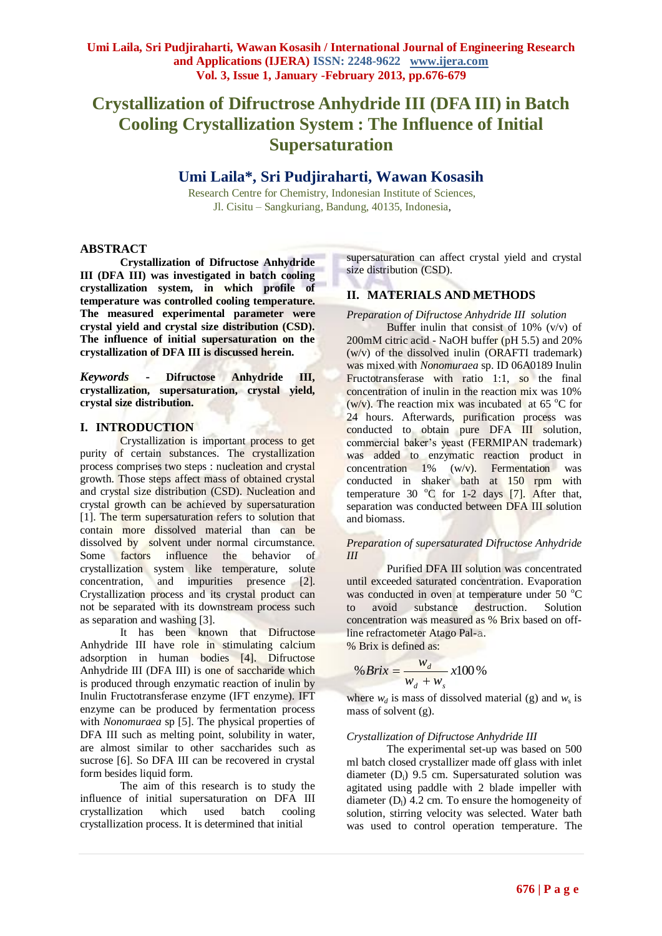# **Crystallization of Difructrose Anhydride III (DFA III) in Batch Cooling Crystallization System : The Influence of Initial Supersaturation**

## **Umi Laila\*, Sri Pudjiraharti, Wawan Kosasih**

Research Centre for Chemistry, Indonesian Institute of Sciences, Jl. Cisitu – Sangkuriang, Bandung, 40135, Indonesia,

## **ABSTRACT**

**Crystallization of Difructose Anhydride III (DFA III) was investigated in batch cooling crystallization system, in which profile of temperature was controlled cooling temperature. The measured experimental parameter were crystal yield and crystal size distribution (CSD). The influence of initial supersaturation on the crystallization of DFA III is discussed herein.**

*Keywords* **- Difructose Anhydride III, crystallization, supersaturation, crystal yield, crystal size distribution.**

## **I. INTRODUCTION**

Crystallization is important process to get purity of certain substances. The crystallization process comprises two steps : nucleation and crystal growth. Those steps affect mass of obtained crystal and crystal size distribution (CSD). Nucleation and crystal growth can be achieved by supersaturation [1]. The term supersaturation refers to solution that contain more dissolved material than can be dissolved by solvent under normal circumstance. Some factors influence the behavior of crystallization system like temperature, solute concentration, and impurities presence [2]. Crystallization process and its crystal product can not be separated with its downstream process such as separation and washing [3].

It has been known that Difructose Anhydride III have role in stimulating calcium adsorption in human bodies [4]. Difructose Anhydride III (DFA III) is one of saccharide which is produced through enzymatic reaction of inulin by Inulin Fructotransferase enzyme (IFT enzyme). IFT enzyme can be produced by fermentation process with *Nonomuraea* sp [5]. The physical properties of DFA III such as melting point, solubility in water, are almost similar to other saccharides such as sucrose [6]. So DFA III can be recovered in crystal form besides liquid form.

The aim of this research is to study the influence of initial supersaturation on DFA III crystallization which used batch cooling crystallization process. It is determined that initial

supersaturation can affect crystal yield and crystal size distribution (CSD).

## **II. MATERIALS AND METHODS**

*Preparation of Difructose Anhydride III solution*

Buffer inulin that consist of  $10\%$  (v/v) of 200mM citric acid - NaOH buffer (pH 5.5) and 20% (w/v) of the dissolved inulin (ORAFTI trademark) was mixed with *Nonomuraea* sp. ID 06A0189 Inulin Fructotransferase with ratio 1:1, so the final concentration of inulin in the reaction mix was 10% (w/v). The reaction mix was incubated at  $65^{\circ}$ C for 24 hours. Afterwards, purification process was conducted to obtain pure DFA III solution, commercial baker's yeast (FERMIPAN trademark) was added to enzymatic reaction product in concentration  $1\%$  (w/v). Fermentation was conducted in shaker bath at 150 rpm with temperature 30  $^{\circ}$ C for 1-2 days [7]. After that, separation was conducted between DFA III solution and biomass.

#### *Preparation of supersaturated Difructose Anhydride III*

Purified DFA III solution was concentrated until exceeded saturated concentration. Evaporation was conducted in oven at temperature under  $50^{\circ}$ C to avoid substance destruction. Solution concentration was measured as % Brix based on offline refractometer Atago Pal-a.

% Brix is defined as:

$$
\% Brix = \frac{w_d}{w_d + w_s} x100\%
$$

where  $w_d$  is mass of dissolved material (g) and  $w_s$  is mass of solvent (g).

#### *Crystallization of Difructose Anhydride III*

The experimental set-up was based on 500 ml batch closed crystallizer made off glass with inlet diameter ( $D_i$ ) 9.5 cm. Supersaturated solution was agitated using paddle with 2 blade impeller with diameter  $(D_1)$  4.2 cm. To ensure the homogeneity of solution, stirring velocity was selected. Water bath was used to control operation temperature. The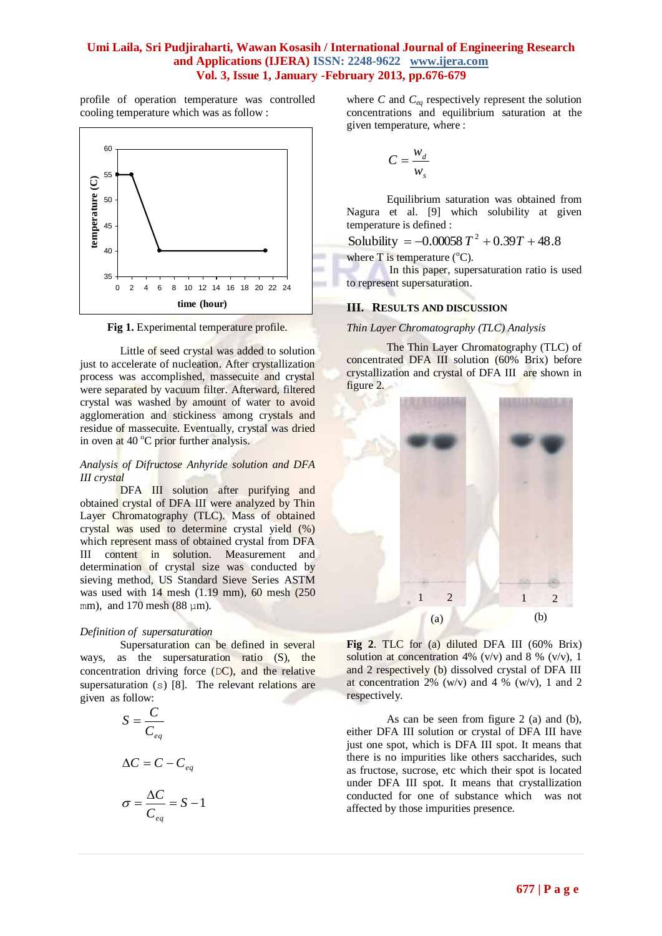## **Umi Laila, Sri Pudjiraharti, Wawan Kosasih / International Journal of Engineering Research and Applications (IJERA) ISSN: 2248-9622 www.ijera.com Vol. 3, Issue 1, January -February 2013, pp.676-679**

profile of operation temperature was controlled cooling temperature which was as follow :



**Fig 1.** Experimental temperature profile.

Little of seed crystal was added to solution just to accelerate of nucleation. After crystallization process was accomplished, massecuite and crystal were separated by vacuum filter. Afterward, filtered crystal was washed by amount of water to avoid agglomeration and stickiness among crystals and residue of massecuite. Eventually, crystal was dried in oven at  $40^{\circ}$ C prior further analysis.

#### *Analysis of Difructose Anhyride solution and DFA III crystal*

DFA III solution after purifying and obtained crystal of DFA III were analyzed by Thin Layer Chromatography (TLC). Mass of obtained crystal was used to determine crystal yield (%) which represent mass of obtained crystal from DFA III content in solution. Measurement and determination of crystal size was conducted by sieving method, US Standard Sieve Series ASTM was used with 14 mesh (1.19 mm), 60 mesh (250 mm), and  $170$  mesh  $(88 \text{ nm})$ .

#### *Definition of supersaturation*

Supersaturation can be defined in several ways, as the supersaturation ratio (S), the concentration driving force  $(DC)$ , and the relative supersaturation (s) [8]. The relevant relations are given as follow:

1

$$
S = \frac{C}{C_{eq}}
$$

$$
\Delta C = C - C_{eq}
$$

$$
\sigma = \frac{\Delta C}{C_{eq}} = S -
$$

where *C* and *Ceq* respectively represent the solution concentrations and equilibrium saturation at the given temperature, where :

$$
C = \frac{w_d}{w_s}
$$

Equilibrium saturation was obtained from Nagura et al. [9] which solubility at given temperature is defined :

Solubility =  $-0.00058 T^2 + 0.39T + 48.8$ 

where  $T$  is temperature ( $^{\circ}C$ ).

In this paper, supersaturation ratio is used to represent supersaturation.

## **III. RESULTS AND DISCUSSION**

*Thin Layer Chromatography (TLC) Analysis*

The Thin Layer Chromatography (TLC) of concentrated DFA III solution (60% Brix) before crystallization and crystal of DFA III are shown in figure 2.



**Fig 2**. TLC for (a) diluted DFA III (60% Brix) solution at concentration 4% (v/v) and 8 % (v/v), 1 and 2 respectively (b) dissolved crystal of DFA III at concentration  $2\%$  (w/v) and  $4\%$  (w/v), 1 and 2 respectively.

As can be seen from figure 2 (a) and (b), either DFA III solution or crystal of DFA III have just one spot, which is DFA III spot. It means that there is no impurities like others saccharides, such as fructose, sucrose, etc which their spot is located under DFA III spot. It means that crystallization conducted for one of substance which was not affected by those impurities presence.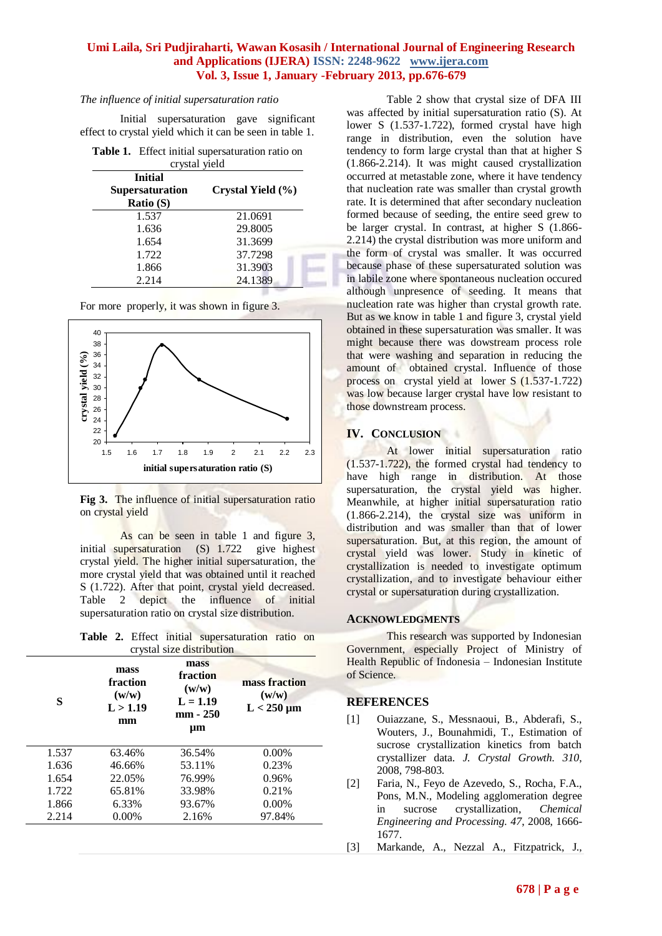## **Umi Laila, Sri Pudjiraharti, Wawan Kosasih / International Journal of Engineering Research and Applications (IJERA) ISSN: 2248-9622 www.ijera.com Vol. 3, Issue 1, January -February 2013, pp.676-679**

#### *The influence of initial supersaturation ratio*

Initial supersaturation gave significant effect to crystal yield which it can be seen in table 1.

|               | Table 1. Effect initial supersaturation ratio on |  |  |  |  |
|---------------|--------------------------------------------------|--|--|--|--|
| arratel riold |                                                  |  |  |  |  |

| crystal yield          |                   |  |  |  |
|------------------------|-------------------|--|--|--|
| <b>Initial</b>         |                   |  |  |  |
| <b>Supersaturation</b> | Crystal Yield (%) |  |  |  |
| Ratio (S)              |                   |  |  |  |
| 1.537                  | 21.0691           |  |  |  |
| 1.636                  | 29.8005           |  |  |  |
| 1.654                  | 31.3699           |  |  |  |
| 1.722                  | 37.7298           |  |  |  |
| 1.866                  | 31.3903           |  |  |  |
| 2.214                  | 24.1389           |  |  |  |
|                        |                   |  |  |  |

For more properly, it was shown in figure 3.



**Fig 3.** The influence of initial supersaturation ratio on crystal yield

As can be seen in table 1 and figure 3, initial supersaturation (S) 1.722 give highest crystal yield. The higher initial supersaturation, the more crystal yield that was obtained until it reached S (1.722). After that point, crystal yield decreased. Table 2 depict the influence of initial supersaturation ratio on crystal size distribution.

**Table 2.** Effect initial supersaturation ratio on crystal size distribution

| S     | mass<br>fraction<br>(w/w)<br>L > 1.19<br>mm | mass<br>fraction<br>(w/w)<br>$L = 1.19$<br>mm - 250<br>$\mu$ m | mass fraction<br>(w/w)<br>$L < 250 \mu m$ |
|-------|---------------------------------------------|----------------------------------------------------------------|-------------------------------------------|
| 1.537 | 63.46%                                      | 36.54%                                                         | $0.00\%$                                  |
| 1.636 | 46.66%                                      | 53.11%                                                         | 0.23%                                     |
| 1.654 | 22.05%                                      | 76.99%                                                         | 0.96%                                     |
| 1.722 | 65.81%                                      | 33.98%                                                         | 0.21%                                     |
| 1.866 | 6.33%                                       | 93.67%                                                         | $0.00\%$                                  |
| 2.214 | $0.00\%$                                    | 2.16%                                                          | 97.84%                                    |

Table 2 show that crystal size of DFA III was affected by initial supersaturation ratio (S). At lower S (1.537-1.722), formed crystal have high range in distribution, even the solution have tendency to form large crystal than that at higher S (1.866-2.214). It was might caused crystallization occurred at metastable zone, where it have tendency that nucleation rate was smaller than crystal growth rate. It is determined that after secondary nucleation formed because of seeding, the entire seed grew to be larger crystal. In contrast, at higher S (1.866- 2.214) the crystal distribution was more uniform and the form of crystal was smaller. It was occurred because phase of these supersaturated solution was in labile zone where spontaneous nucleation occured although unpresence of seeding. It means that nucleation rate was higher than crystal growth rate. But as we know in table 1 and figure 3, crystal yield obtained in these supersaturation was smaller. It was might because there was dowstream process role that were washing and separation in reducing the amount of obtained crystal. Influence of those process on crystal yield at lower S (1.537-1.722) was low because larger crystal have low resistant to those downstream process.

## **IV. CONCLUSION**

At lower initial supersaturation ratio (1.537-1.722), the formed crystal had tendency to have high range in distribution. At those supersaturation, the crystal yield was higher. Meanwhile, at higher initial supersaturation ratio (1.866-2.214), the crystal size was uniform in distribution and was smaller than that of lower supersaturation. But, at this region, the amount of crystal yield was lower. Study in kinetic of crystallization is needed to investigate optimum crystallization, and to investigate behaviour either crystal or supersaturation during crystallization.

## **ACKNOWLEDGMENTS**

This research was supported by Indonesian Government, especially Project of Ministry of Health Republic of Indonesia – Indonesian Institute of Science.

## **REFERENCES**

- [1] Ouiazzane, S., Messnaoui, B., Abderafi, S., Wouters, J., Bounahmidi, T., Estimation of sucrose crystallization kinetics from batch crystallizer data. *J. Crystal Growth. 310*, 2008, 798-803.
- [2] Faria, N., Feyo de Azevedo, S., Rocha, F.A., Pons, M.N., Modeling agglomeration degree in sucrose crystallization*, Chemical Engineering and Processing. 47*, 2008, 1666- 1677.
- [3] Markande, A., Nezzal A., Fitzpatrick, J.,